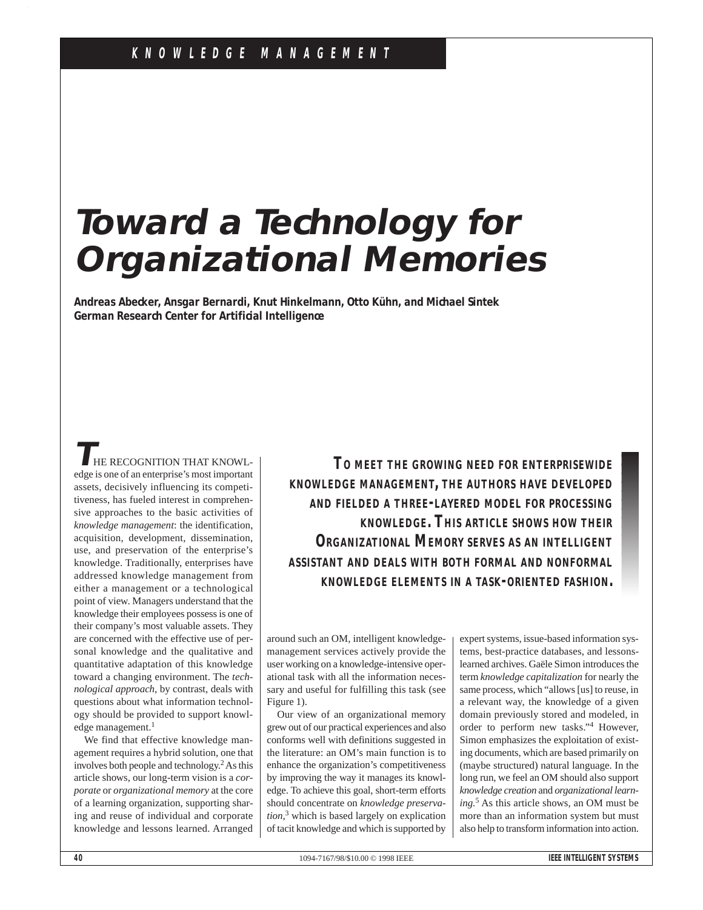# **Toward a Technology for Organizational Memories**

**Andreas Abecker, Ansgar Bernardi, Knut Hinkelmann, Otto Kühn, and Michael Sintek German Research Center for Artificial Intelligence** 

**HE RECOGNITION THAT KNOWL**edge is one of an enterprise's most important assets, decisively influencing its competitiveness, has fueled interest in comprehensive approaches to the basic activities of *knowledge management*: the identification, acquisition, development, dissemination, use, and preservation of the enterprise's knowledge. Traditionally, enterprises have addressed knowledge management from either a management or a technological point of view. Managers understand that the knowledge their employees possess is one of their company's most valuable assets. They are concerned with the effective use of personal knowledge and the qualitative and quantitative adaptation of this knowledge toward a changing environment. The *technological approach*, by contrast, deals with questions about what information technology should be provided to support knowledge management.<sup>1</sup>

We find that effective knowledge management requires a hybrid solution, one that involves both people and technology.2As this article shows, our long-term vision is a *corporate* or *organizational memory* at the core of a learning organization, supporting sharing and reuse of individual and corporate knowledge and lessons learned. Arranged

*TO MEET THE GROWING NEED FOR ENTERPRISEWIDE KNOWLEDGE MANAGEMENT, THE AUTHORS HAVE DEVELOPED AND FIELDED A THREE-LAYERED MODEL FOR PROCESSING KNOWLEDGE. THIS ARTICLE SHOWS HOW THEIR ORGANIZATIONAL MEMORY SERVES AS AN INTELLIGENT ASSISTANT AND DEALS WITH BOTH FORMAL AND NONFORMAL KNOWLEDGE ELEMENTS IN A TASK-ORIENTED FASHION.* 

around such an OM, intelligent knowledgemanagement services actively provide the user working on a knowledge-intensive operational task with all the information necessary and useful for fulfilling this task (see Figure 1).

Our view of an organizational memory grew out of our practical experiences and also conforms well with definitions suggested in the literature: an OM's main function is to enhance the organization's competitiveness by improving the way it manages its knowledge. To achieve this goal, short-term efforts should concentrate on *knowledge preservation*, <sup>3</sup> which is based largely on explication of tacit knowledge and which is supported by

expert systems, issue-based information systems, best-practice databases, and lessonslearned archives. Gaële Simon introduces the term *knowledge capitalization* for nearly the same process, which "allows [us] to reuse, in a relevant way, the knowledge of a given domain previously stored and modeled, in order to perform new tasks."4 However, Simon emphasizes the exploitation of existing documents, which are based primarily on (maybe structured) natural language. In the long run, we feel an OM should also support *knowledge creation* and *organizational learning.*<sup>5</sup> As this article shows, an OM must be more than an information system but must also help to transform information into action.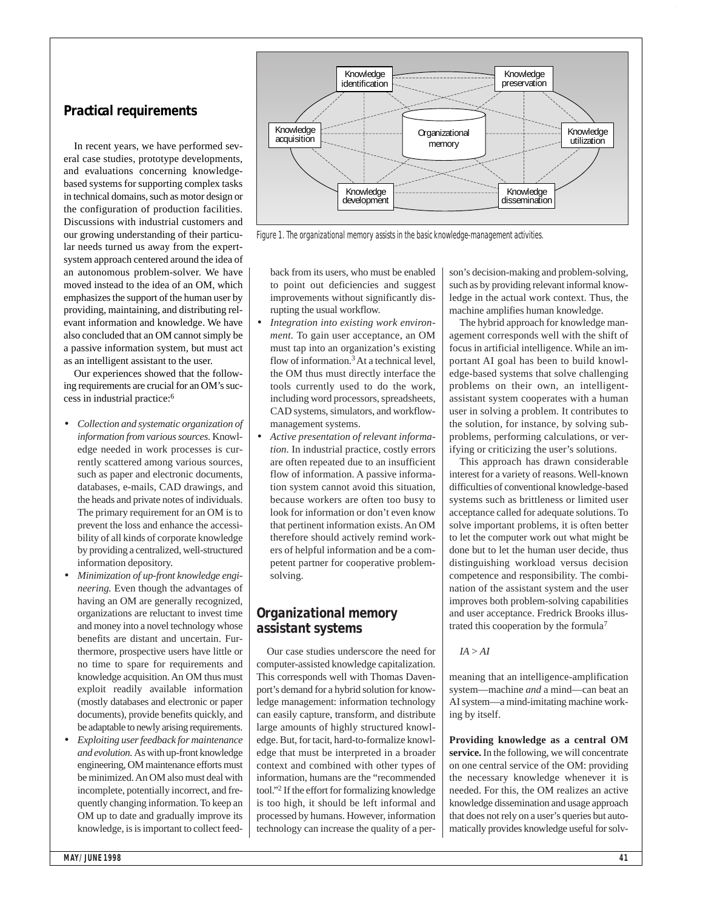# **Practical requirements**

In recent years, we have performed several case studies, prototype developments, and evaluations concerning knowledgebased systems for supporting complex tasks in technical domains, such as motor design or the configuration of production facilities. Discussions with industrial customers and our growing understanding of their particular needs turned us away from the expertsystem approach centered around the idea of an autonomous problem-solver. We have moved instead to the idea of an OM, which emphasizes the support of the human user by providing, maintaining, and distributing relevant information and knowledge. We have also concluded that an OM cannot simply be a passive information system, but must act as an intelligent assistant to the user.

Our experiences showed that the following requirements are crucial for an OM's success in industrial practice:6

- *Collection and systematic organization of information from various sources.* Knowledge needed in work processes is currently scattered among various sources, such as paper and electronic documents, databases, e-mails, CAD drawings, and the heads and private notes of individuals. The primary requirement for an OM is to prevent the loss and enhance the accessibility of all kinds of corporate knowledge by providing a centralized, well-structured information depository.
- *Minimization of up-front knowledge engineering.* Even though the advantages of having an OM are generally recognized, organizations are reluctant to invest time and money into a novel technology whose benefits are distant and uncertain. Furthermore, prospective users have little or no time to spare for requirements and knowledge acquisition. An OM thus must exploit readily available information (mostly databases and electronic or paper documents), provide benefits quickly, and be adaptable to newly arising requirements.
- *Exploiting user feedback for maintenance and evolution.* As with up-front knowledge engineering, OM maintenance efforts must be minimized. An OM also must deal with incomplete, potentially incorrect, and frequently changing information. To keep an OM up to date and gradually improve its knowledge, is is important to collect feed-



Figure 1. The organizational memory assists in the basic knowledge-management activities.

back from its users, who must be enabled to point out deficiencies and suggest improvements without significantly disrupting the usual workflow.

- *Integration into existing work environment.* To gain user acceptance, an OM must tap into an organization's existing flow of information.<sup>3</sup> At a technical level, the OM thus must directly interface the tools currently used to do the work, including word processors, spreadsheets, CAD systems, simulators, and workflowmanagement systems.
- *Active presentation of relevant information.* In industrial practice, costly errors are often repeated due to an insufficient flow of information. A passive information system cannot avoid this situation, because workers are often too busy to look for information or don't even know that pertinent information exists. An OM therefore should actively remind workers of helpful information and be a competent partner for cooperative problemsolving.

# **Organizational memory assistant systems**

Our case studies underscore the need for computer-assisted knowledge capitalization. This corresponds well with Thomas Davenport's demand for a hybrid solution for knowledge management: information technology can easily capture, transform, and distribute large amounts of highly structured knowledge. But, for tacit, hard-to-formalize knowledge that must be interpreted in a broader context and combined with other types of information, humans are the "recommended tool."2 If the effort for formalizing knowledge is too high, it should be left informal and processed by humans. However, information technology can increase the quality of a per-

son's decision-making and problem-solving, such as by providing relevant informal knowledge in the actual work context. Thus, the machine amplifies human knowledge.

The hybrid approach for knowledge management corresponds well with the shift of focus in artificial intelligence. While an important AI goal has been to build knowledge-based systems that solve challenging problems on their own, an intelligentassistant system cooperates with a human user in solving a problem. It contributes to the solution, for instance, by solving subproblems, performing calculations, or verifying or criticizing the user's solutions.

This approach has drawn considerable interest for a variety of reasons. Well-known difficulties of conventional knowledge-based systems such as brittleness or limited user acceptance called for adequate solutions. To solve important problems, it is often better to let the computer work out what might be done but to let the human user decide, thus distinguishing workload versus decision competence and responsibility. The combination of the assistant system and the user improves both problem-solving capabilities and user acceptance. Fredrick Brooks illustrated this cooperation by the formula7

 $IA > AI$ 

meaning that an intelligence-amplification system—machine *and* a mind—can beat an AI system—a mind-imitating machine working by itself.

**Providing knowledge as a central OM service.** In the following, we will concentrate on one central service of the OM: providing the necessary knowledge whenever it is needed. For this, the OM realizes an active knowledge dissemination and usage approach that does not rely on a user's queries but automatically provides knowledge useful for solv-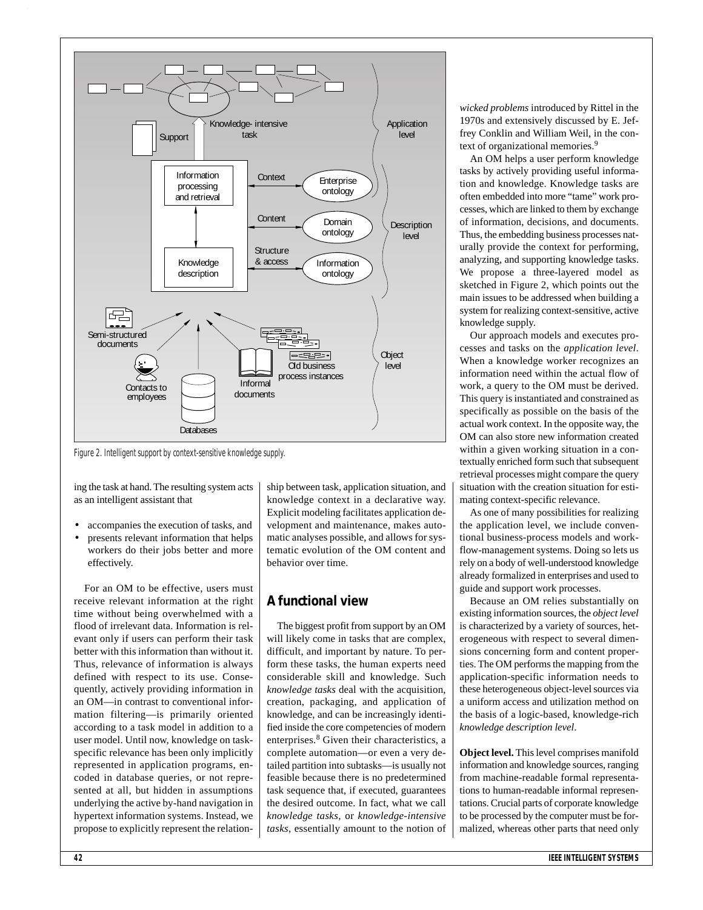

Figure 2. Intelligent support by context-sensitive knowledge supply.

ing the task at hand. The resulting system acts as an intelligent assistant that

- accompanies the execution of tasks, and
- presents relevant information that helps workers do their jobs better and more effectively.

For an OM to be effective, users must receive relevant information at the right time without being overwhelmed with a flood of irrelevant data. Information is relevant only if users can perform their task better with this information than without it. Thus, relevance of information is always defined with respect to its use. Consequently, actively providing information in an OM—in contrast to conventional information filtering—is primarily oriented according to a task model in addition to a user model. Until now, knowledge on taskspecific relevance has been only implicitly represented in application programs, encoded in database queries, or not represented at all, but hidden in assumptions underlying the active by-hand navigation in hypertext information systems. Instead, we propose to explicitly represent the relationship between task, application situation, and knowledge context in a declarative way. Explicit modeling facilitates application development and maintenance, makes automatic analyses possible, and allows for systematic evolution of the OM content and behavior over time.

# **A functional view**

The biggest profit from support by an OM will likely come in tasks that are complex, difficult, and important by nature. To perform these tasks, the human experts need considerable skill and knowledge. Such *knowledge tasks* deal with the acquisition, creation, packaging, and application of knowledge, and can be increasingly identified inside the core competencies of modern enterprises.8 Given their characteristics, a complete automation—or even a very detailed partition into subtasks—is usually not feasible because there is no predetermined task sequence that, if executed, guarantees the desired outcome. In fact, what we call *knowledge tasks*, or *knowledge-intensive tasks*, essentially amount to the notion of

*wicked problems* introduced by Rittel in the 1970s and extensively discussed by E. Jeffrey Conklin and William Weil, in the context of organizational memories.<sup>9</sup>

An OM helps a user perform knowledge tasks by actively providing useful information and knowledge. Knowledge tasks are often embedded into more "tame" work processes, which are linked to them by exchange of information, decisions, and documents. Thus, the embedding business processes naturally provide the context for performing, analyzing, and supporting knowledge tasks. We propose a three-layered model as sketched in Figure 2, which points out the main issues to be addressed when building a system for realizing context-sensitive, active knowledge supply.

Our approach models and executes processes and tasks on the *application level*. When a knowledge worker recognizes an information need within the actual flow of work, a query to the OM must be derived. This query is instantiated and constrained as specifically as possible on the basis of the actual work context. In the opposite way, the OM can also store new information created within a given working situation in a contextually enriched form such that subsequent retrieval processes might compare the query situation with the creation situation for estimating context-specific relevance.

As one of many possibilities for realizing the application level, we include conventional business-process models and workflow-management systems. Doing so lets us rely on a body of well-understood knowledge already formalized in enterprises and used to guide and support work processes.

Because an OM relies substantially on existing information sources, the *object level* is characterized by a variety of sources, heterogeneous with respect to several dimensions concerning form and content properties. The OM performs the mapping from the application-specific information needs to these heterogeneous object-level sources via a uniform access and utilization method on the basis of a logic-based, knowledge-rich *knowledge description level*.

**Object level.** This level comprises manifold information and knowledge sources, ranging from machine-readable formal representations to human-readable informal representations. Crucial parts of corporate knowledge to be processed by the computer must be formalized, whereas other parts that need only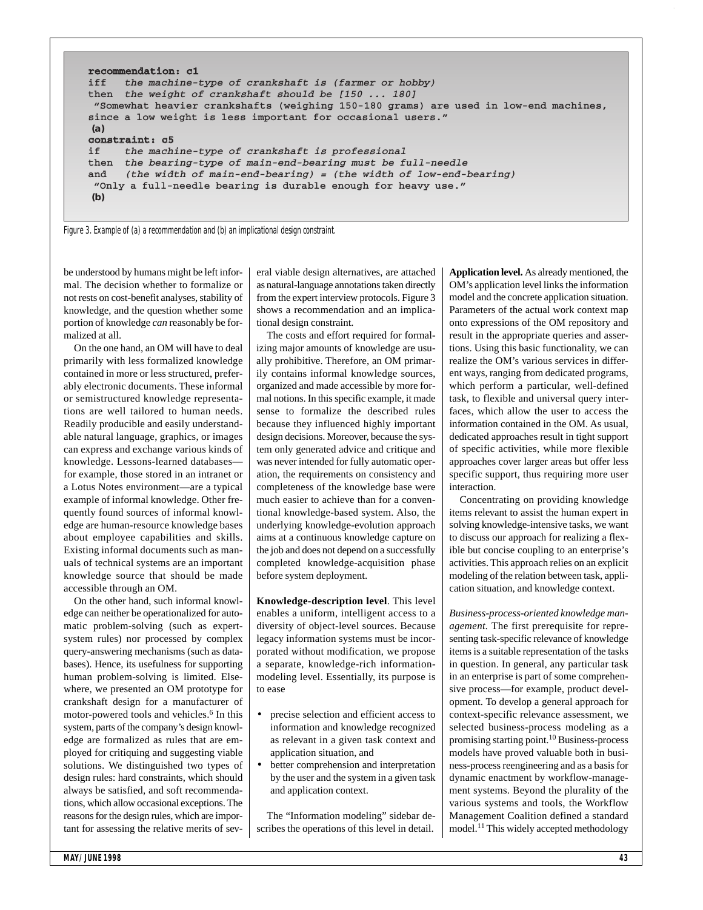```
recommendation: c1
iff the machine-type of crankshaft is (farmer or hobby)
then the weight of crankshaft should be [150 ... 180]
"Somewhat heavier crankshafts (weighing 150-180 grams) are used in low-end machines,
since a low weight is less important for occasional users."
(a)
constraint: c5
if the machine-type of crankshaft is professional
then the bearing-type of main-end-bearing must be full-needle
and (the width of main-end-bearing) = (the width of low-end-bearing)
"Only a full-needle bearing is durable enough for heavy use."
(b)
```


be understood by humans might be left informal. The decision whether to formalize or not rests on cost-benefit analyses, stability of knowledge, and the question whether some portion of knowledge *can* reasonably be formalized at all.

On the one hand, an OM will have to deal primarily with less formalized knowledge contained in more or less structured, preferably electronic documents. These informal or semistructured knowledge representations are well tailored to human needs. Readily producible and easily understandable natural language, graphics, or images can express and exchange various kinds of knowledge. Lessons-learned databases for example, those stored in an intranet or a Lotus Notes environment—are a typical example of informal knowledge. Other frequently found sources of informal knowledge are human-resource knowledge bases about employee capabilities and skills. Existing informal documents such as manuals of technical systems are an important knowledge source that should be made accessible through an OM.

On the other hand, such informal knowledge can neither be operationalized for automatic problem-solving (such as expertsystem rules) nor processed by complex query-answering mechanisms (such as databases). Hence, its usefulness for supporting human problem-solving is limited. Elsewhere, we presented an OM prototype for crankshaft design for a manufacturer of motor-powered tools and vehicles.<sup>6</sup> In this system, parts of the company's design knowledge are formalized as rules that are employed for critiquing and suggesting viable solutions. We distinguished two types of design rules: hard constraints, which should always be satisfied, and soft recommendations, which allow occasional exceptions. The reasons for the design rules, which are important for assessing the relative merits of several viable design alternatives, are attached as natural-language annotations taken directly from the expert interview protocols. Figure 3 shows a recommendation and an implicational design constraint.

The costs and effort required for formalizing major amounts of knowledge are usually prohibitive. Therefore, an OM primarily contains informal knowledge sources, organized and made accessible by more formal notions. In this specific example, it made sense to formalize the described rules because they influenced highly important design decisions. Moreover, because the system only generated advice and critique and was never intended for fully automatic operation, the requirements on consistency and completeness of the knowledge base were much easier to achieve than for a conventional knowledge-based system. Also, the underlying knowledge-evolution approach aims at a continuous knowledge capture on the job and does not depend on a successfully completed knowledge-acquisition phase before system deployment.

**Knowledge-description level**. This level enables a uniform, intelligent access to a diversity of object-level sources. Because legacy information systems must be incorporated without modification, we propose a separate, knowledge-rich informationmodeling level. Essentially, its purpose is to ease

- precise selection and efficient access to information and knowledge recognized as relevant in a given task context and application situation, and
- better comprehension and interpretation by the user and the system in a given task and application context.

The "Information modeling" sidebar describes the operations of this level in detail.

**Application level.** As already mentioned, the OM's application level links the information model and the concrete application situation. Parameters of the actual work context map onto expressions of the OM repository and result in the appropriate queries and assertions. Using this basic functionality, we can realize the OM's various services in different ways, ranging from dedicated programs, which perform a particular, well-defined task, to flexible and universal query interfaces, which allow the user to access the information contained in the OM. As usual, dedicated approaches result in tight support of specific activities, while more flexible approaches cover larger areas but offer less specific support, thus requiring more user interaction.

Concentrating on providing knowledge items relevant to assist the human expert in solving knowledge-intensive tasks, we want to discuss our approach for realizing a flexible but concise coupling to an enterprise's activities. This approach relies on an explicit modeling of the relation between task, application situation, and knowledge context.

*Business-process-oriented knowledge management.* The first prerequisite for representing task-specific relevance of knowledge items is a suitable representation of the tasks in question. In general, any particular task in an enterprise is part of some comprehensive process—for example, product development. To develop a general approach for context-specific relevance assessment, we selected business-process modeling as a promising starting point.10 Business-process models have proved valuable both in business-process reengineering and as a basis for dynamic enactment by workflow-management systems. Beyond the plurality of the various systems and tools, the Workflow Management Coalition defined a standard model.11 This widely accepted methodology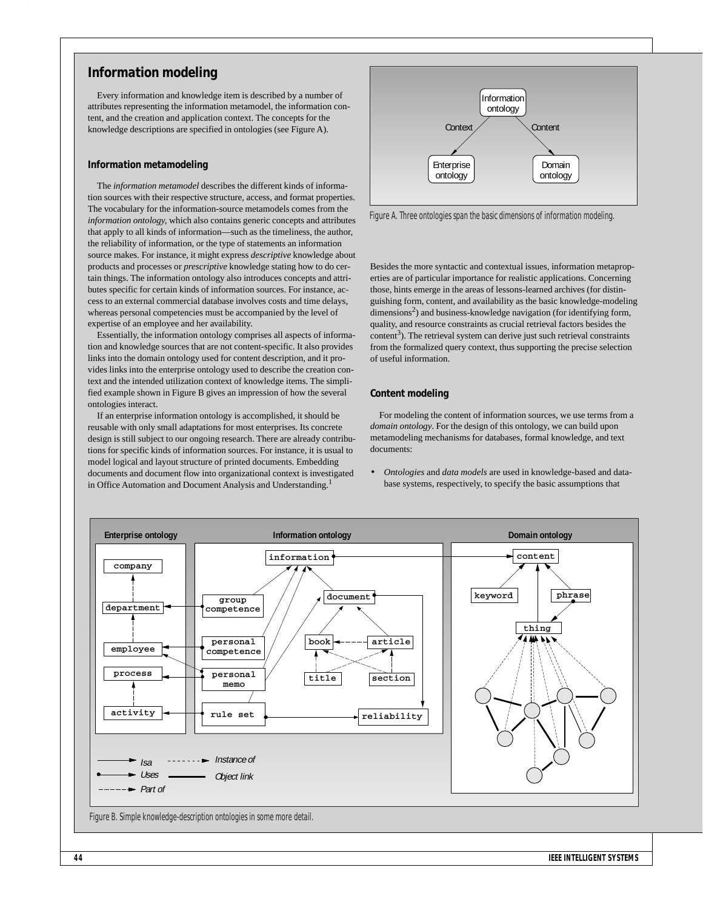# **Information modeling**

Every information and knowledge item is described by a number of attributes representing the information metamodel, the information content, and the creation and application context. The concepts for the knowledge descriptions are specified in ontologies (see Figure A).

## **Information metamodeling**

The *information metamodel* describes the different kinds of information sources with their respective structure, access, and format properties. The vocabulary for the information-source metamodels comes from the *information ontology,* which also contains generic concepts and attributes that apply to all kinds of information—such as the timeliness, the author, the reliability of information, or the type of statements an information source makes. For instance, it might express *descriptive* knowledge about products and processes or *prescriptive* knowledge stating how to do certain things. The information ontology also introduces concepts and attributes specific for certain kinds of information sources. For instance, access to an external commercial database involves costs and time delays, whereas personal competencies must be accompanied by the level of expertise of an employee and her availability.

Essentially, the information ontology comprises all aspects of information and knowledge sources that are not content-specific. It also provides links into the domain ontology used for content description, and it provides links into the enterprise ontology used to describe the creation context and the intended utilization context of knowledge items. The simplified example shown in Figure B gives an impression of how the several ontologies interact.

If an enterprise information ontology is accomplished, it should be reusable with only small adaptations for most enterprises. Its concrete design is still subject to our ongoing research. There are already contributions for specific kinds of information sources. For instance, it is usual to model logical and layout structure of printed documents. Embedding documents and document flow into organizational context is investigated in Office Automation and Document Analysis and Understanding.<sup>1</sup>



Figure A. Three ontologies span the basic dimensions of information modeling.

Besides the more syntactic and contextual issues, information metaproperties are of particular importance for realistic applications. Concerning those, hints emerge in the areas of lessons-learned archives (for distinguishing form, content, and availability as the basic knowledge-modeling  $dimensions<sup>2</sup>$ ) and business-knowledge navigation (for identifying form, quality, and resource constraints as crucial retrieval factors besides the  $content<sup>3</sup>$ . The retrieval system can derive just such retrieval constraints from the formalized query context, thus supporting the precise selection of useful information.

#### **Content modeling**

For modeling the content of information sources, we use terms from a *domain ontology*. For the design of this ontology, we can build upon metamodeling mechanisms for databases, formal knowledge, and text documents:

• *Ontologies* and *data models* are used in knowledge-based and database systems, respectively, to specify the basic assumptions that

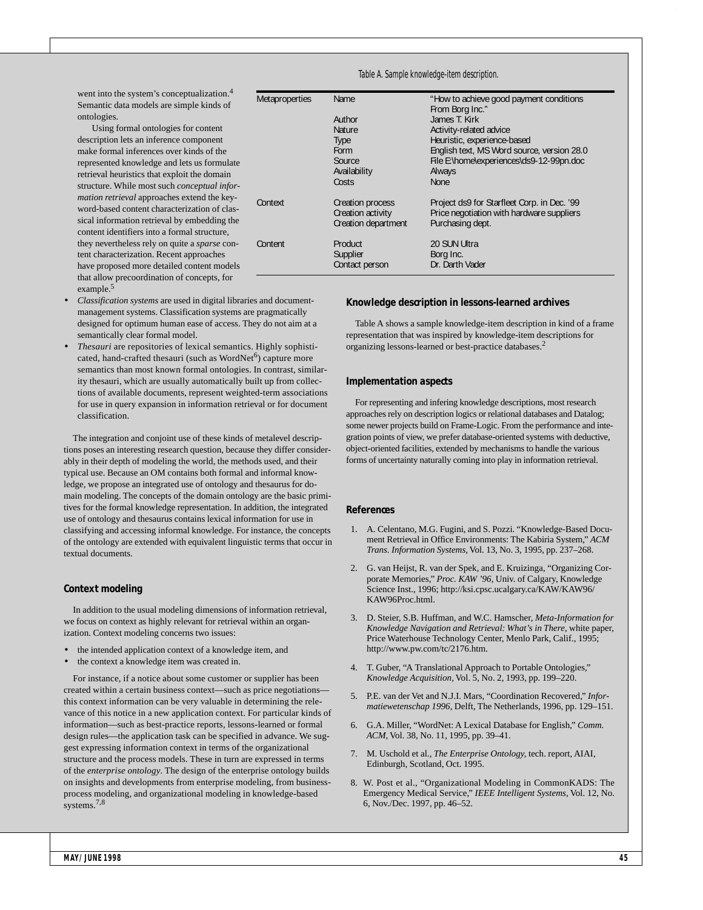#### went into the system's conceptualization.<sup>4</sup> Semantic data models are simple kinds of ontologies.

Using formal ontologies for content description lets an inference component make formal inferences over kinds of the represented knowledge and lets us formulate retrieval heuristics that exploit the domain structure. While most such *conceptual information retrieval* approaches extend the keyword-based content characterization of classical information retrieval by embedding the content identifiers into a formal structure, they nevertheless rely on quite a *sparse* content characterization. Recent approaches have proposed more detailed content models that allow precoordination of concepts, for example. 5

| <b>Metaproperties</b> | Name                                                         | "How to achieve good payment conditions<br>From Borg Inc."                                                      |
|-----------------------|--------------------------------------------------------------|-----------------------------------------------------------------------------------------------------------------|
|                       | Author                                                       | James T. Kirk                                                                                                   |
|                       | <b>Nature</b>                                                | Activity-related advice                                                                                         |
|                       | <b>Type</b>                                                  | Heuristic, experience-based                                                                                     |
|                       | Form<br>Source<br>Availability<br>Costs                      | English text, MS Word source, version 28.0<br>File E:\home\experiences\ds9-12-99pn.doc<br>Always<br><b>None</b> |
| Context               | Creation process<br>Creation activity<br>Creation department | Project ds9 for Starfleet Corp. in Dec. '99<br>Price negotiation with hardware suppliers<br>Purchasing dept.    |
| Content               | Product<br>Supplier<br>Contact person                        | 20 SUN Ultra<br>Borg Inc.<br>Dr. Darth Vader                                                                    |

Table A. Sample knowledge-item description.

- *Classification systems* are used in digital libraries and documentmanagement systems. Classification systems are pragmatically designed for optimum human ease of access. They do not aim at a
- semantically clear formal model. • *Thesauri* are repositories of lexical semantics. Highly sophisticated, hand-crafted thesauri (such as WordNet $<sup>6</sup>$ ) capture more</sup> semantics than most known formal ontologies. In contrast, similarity thesauri, which are usually automatically built up from collections of available documents, represent weighted-term associations for use in query expansion in information retrieval or for document classification.

The integration and conjoint use of these kinds of metalevel descriptions poses an interesting research question, because they differ considerably in their depth of modeling the world, the methods used, and their typical use. Because an OM contains both formal and informal knowledge, we propose an integrated use of ontology and thesaurus for domain modeling. The concepts of the domain ontology are the basic primitives for the formal knowledge representation. In addition, the integrated use of ontology and thesaurus contains lexical information for use in classifying and accessing informal knowledge. For instance, the concepts of the ontology are extended with equivalent linguistic terms that occur in textual documents.

## **Context modeling**

In addition to the usual modeling dimensions of information retrieval, we focus on context as highly relevant for retrieval within an organization. Context modeling concerns two issues:

- the intended application context of a knowledge item, and
- the context a knowledge item was created in.

For instance, if a notice about some customer or supplier has been created within a certain business context—such as price negotiations this context information can be very valuable in determining the relevance of this notice in a new application context. For particular kinds of information—such as best-practice reports, lessons-learned or formal design rules—the application task can be specified in advance. We suggest expressing information context in terms of the organizational structure and the process models. These in turn are expressed in terms of the *enterprise ontology*. The design of the enterprise ontology builds on insights and developments from enterprise modeling, from businessprocess modeling, and organizational modeling in knowledge-based systems.7,8

## **Knowledge description in lessons-learned archives**

Table A shows a sample knowledge-item description in kind of a frame representation that was inspired by knowledge-item descriptions for organizing lessons-learned or best-practice databases.<sup>2</sup>

## **Implementation aspects**

For representing and infering knowledge descriptions, most research approaches rely on description logics or relational databases and Datalog; some newer projects build on Frame-Logic. From the performance and integration points of view, we prefer database-oriented systems with deductive, object-oriented facilities, extended by mechanisms to handle the various forms of uncertainty naturally coming into play in information retrieval.

## **References**

- 1. A. Celentano, M.G. Fugini, and S. Pozzi. "Knowledge-Based Document Retrieval in Office Environments: The Kabiria System," *ACM Trans. Information Systems*, Vol. 13, No. 3, 1995, pp. 237–268.
- 2. G. van Heijst, R. van der Spek, and E. Kruizinga, "Organizing Corporate Memories," *Proc. KAW '96*, Univ. of Calgary, Knowledge Science Inst., 1996; http://ksi.cpsc.ucalgary.ca/KAW/KAW96/ KAW96Proc.html.
- 3. D. Steier, S.B. Huffman, and W.C. Hamscher, *Meta-Information for Knowledge Navigation and Retrieval: What's in There*, white paper, Price Waterhouse Technology Center, Menlo Park, Calif., 1995; http://www.pw.com/tc/2176.htm.
- 4. T. Guber, "A Translational Approach to Portable Ontologies," *Knowledge Acquisition,* Vol. 5, No. 2, 1993, pp. 199–220.
- 5. P.E. van der Vet and N.J.I. Mars, "Coordination Recovered," *Informatiewetenschap 1996*, Delft, The Netherlands, 1996, pp. 129–151.
- 6. G.A. Miller, "WordNet: A Lexical Database for English," *Comm. ACM*, Vol. 38, No. 11, 1995, pp. 39–41.
- 7. M. Uschold et al., *The Enterprise Ontology,* tech. report, AIAI, Edinburgh, Scotland, Oct. 1995.
- 8. W. Post et al., "Organizational Modeling in CommonKADS: The Emergency Medical Service," *IEEE Intelligent Systems*, Vol. 12, No. 6, Nov./Dec. 1997, pp. 46–52.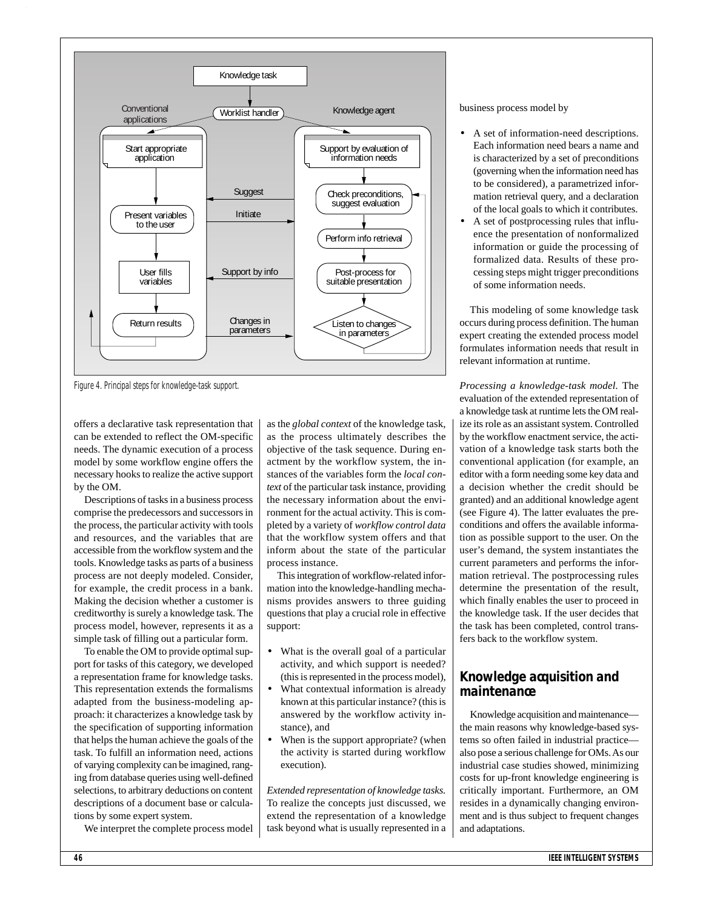

Figure 4. Principal steps for knowledge-task support.

offers a declarative task representation that can be extended to reflect the OM-specific needs. The dynamic execution of a process model by some workflow engine offers the necessary hooks to realize the active support by the OM.

Descriptions of tasks in a business process comprise the predecessors and successors in the process, the particular activity with tools and resources, and the variables that are accessible from the workflow system and the tools. Knowledge tasks as parts of a business process are not deeply modeled. Consider, for example, the credit process in a bank. Making the decision whether a customer is creditworthy is surely a knowledge task. The process model, however, represents it as a simple task of filling out a particular form.

To enable the OM to provide optimal support for tasks of this category, we developed a representation frame for knowledge tasks. This representation extends the formalisms adapted from the business-modeling approach: it characterizes a knowledge task by the specification of supporting information that helps the human achieve the goals of the task. To fulfill an information need, actions of varying complexity can be imagined, ranging from database queries using well-defined selections, to arbitrary deductions on content descriptions of a document base or calculations by some expert system.

We interpret the complete process model

as the *global context* of the knowledge task, as the process ultimately describes the objective of the task sequence. During enactment by the workflow system, the instances of the variables form the *local context* of the particular task instance, providing the necessary information about the environment for the actual activity. This is completed by a variety of *workflow control data* that the workflow system offers and that inform about the state of the particular process instance.

This integration of workflow-related information into the knowledge-handling mechanisms provides answers to three guiding questions that play a crucial role in effective support:

- What is the overall goal of a particular activity, and which support is needed? (this is represented in the process model),
- What contextual information is already known at this particular instance? (this is answered by the workflow activity instance), and
- When is the support appropriate? (when the activity is started during workflow execution).

*Extended representation of knowledge tasks.* To realize the concepts just discussed, we extend the representation of a knowledge task beyond what is usually represented in a

## business process model by

- A set of information-need descriptions. Each information need bears a name and is characterized by a set of preconditions (governing when the information need has to be considered), a parametrized information retrieval query, and a declaration of the local goals to which it contributes.
- A set of postprocessing rules that influence the presentation of nonformalized information or guide the processing of formalized data. Results of these processing steps might trigger preconditions of some information needs.

This modeling of some knowledge task occurs during process definition. The human expert creating the extended process model formulates information needs that result in relevant information at runtime.

*Processing a knowledge-task model.* The evaluation of the extended representation of a knowledge task at runtime lets the OM realize its role as an assistant system. Controlled by the workflow enactment service, the activation of a knowledge task starts both the conventional application (for example, an editor with a form needing some key data and a decision whether the credit should be granted) and an additional knowledge agent (see Figure 4). The latter evaluates the preconditions and offers the available information as possible support to the user. On the user's demand, the system instantiates the current parameters and performs the information retrieval. The postprocessing rules determine the presentation of the result, which finally enables the user to proceed in the knowledge task. If the user decides that the task has been completed, control transfers back to the workflow system.

# **Knowledge acquisition and maintenance**

Knowledge acquisition and maintenance the main reasons why knowledge-based systems so often failed in industrial practice also pose a serious challenge for OMs. As our industrial case studies showed, minimizing costs for up-front knowledge engineering is critically important. Furthermore, an OM resides in a dynamically changing environment and is thus subject to frequent changes and adaptations.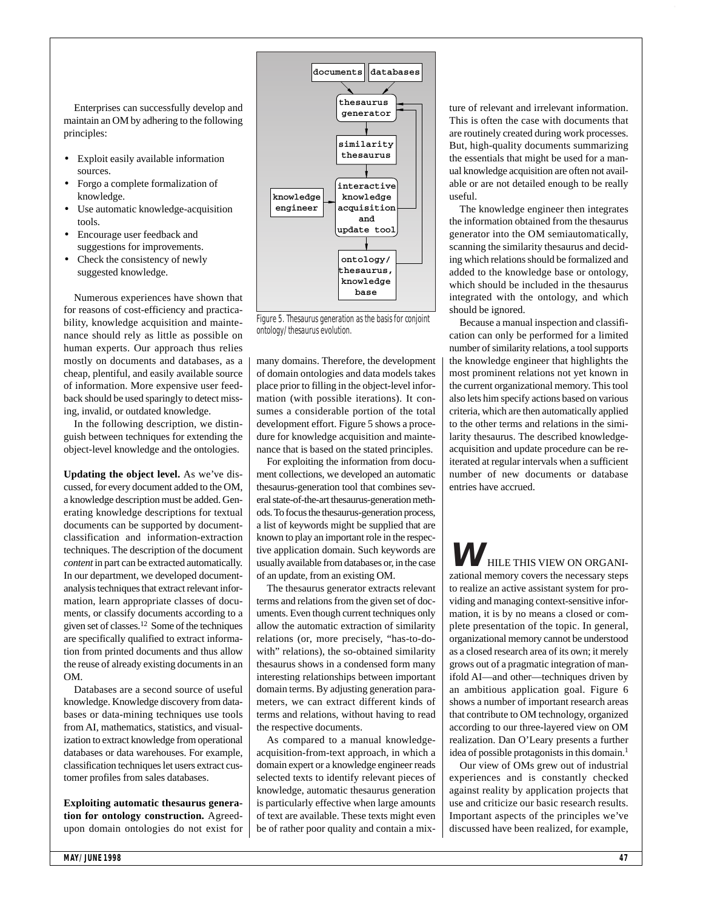

- Exploit easily available information sources.
- Forgo a complete formalization of knowledge.
- Use automatic knowledge-acquisition tools.
- Encourage user feedback and suggestions for improvements.
- Check the consistency of newly suggested knowledge.

Numerous experiences have shown that for reasons of cost-efficiency and practicability, knowledge acquisition and maintenance should rely as little as possible on human experts. Our approach thus relies mostly on documents and databases, as a cheap, plentiful, and easily available source of information. More expensive user feedback should be used sparingly to detect missing, invalid, or outdated knowledge.

In the following description, we distinguish between techniques for extending the object-level knowledge and the ontologies.

**Updating the object level.** As we've discussed, for every document added to the OM, a knowledge description must be added. Generating knowledge descriptions for textual documents can be supported by documentclassification and information-extraction techniques. The description of the document *content* in part can be extracted automatically. In our department, we developed documentanalysis techniques that extract relevant information, learn appropriate classes of documents, or classify documents according to a given set of classes.12 Some of the techniques are specifically qualified to extract information from printed documents and thus allow the reuse of already existing documents in an OM.

Databases are a second source of useful knowledge. Knowledge discovery from databases or data-mining techniques use tools from AI, mathematics, statistics, and visualization to extract knowledge from operational databases or data warehouses. For example, classification techniques let users extract customer profiles from sales databases.

**Exploiting automatic thesaurus generation for ontology construction.** Agreedupon domain ontologies do not exist for



Figure 5. Thesaurus generation as the basis for conjoint ontology/thesaurus evolution.

many domains. Therefore, the development of domain ontologies and data models takes place prior to filling in the object-level information (with possible iterations). It consumes a considerable portion of the total development effort. Figure 5 shows a procedure for knowledge acquisition and maintenance that is based on the stated principles.

For exploiting the information from document collections, we developed an automatic thesaurus-generation tool that combines several state-of-the-art thesaurus-generation methods. To focus the thesaurus-generation process, a list of keywords might be supplied that are known to play an important role in the respective application domain. Such keywords are usually available from databases or, in the case of an update, from an existing OM.

The thesaurus generator extracts relevant terms and relations from the given set of documents. Even though current techniques only allow the automatic extraction of similarity relations (or, more precisely, "has-to-dowith" relations), the so-obtained similarity thesaurus shows in a condensed form many interesting relationships between important domain terms. By adjusting generation parameters, we can extract different kinds of terms and relations, without having to read the respective documents.

As compared to a manual knowledgeacquisition-from-text approach, in which a domain expert or a knowledge engineer reads selected texts to identify relevant pieces of knowledge, automatic thesaurus generation is particularly effective when large amounts of text are available. These texts might even be of rather poor quality and contain a mixture of relevant and irrelevant information. This is often the case with documents that are routinely created during work processes. But, high-quality documents summarizing the essentials that might be used for a manual knowledge acquisition are often not available or are not detailed enough to be really useful.

The knowledge engineer then integrates the information obtained from the thesaurus generator into the OM semiautomatically, scanning the similarity thesaurus and deciding which relations should be formalized and added to the knowledge base or ontology, which should be included in the thesaurus integrated with the ontology, and which should be ignored.

Because a manual inspection and classification can only be performed for a limited number of similarity relations, a tool supports the knowledge engineer that highlights the most prominent relations not yet known in the current organizational memory. This tool also lets him specify actions based on various criteria, which are then automatically applied to the other terms and relations in the similarity thesaurus. The described knowledgeacquisition and update procedure can be reiterated at regular intervals when a sufficient number of new documents or database entries have accrued.

**W**HILE THIS VIEW ON ORGANI-

zational memory covers the necessary steps to realize an active assistant system for providing and managing context-sensitive information, it is by no means a closed or complete presentation of the topic. In general, organizational memory cannot be understood as a closed research area of its own; it merely grows out of a pragmatic integration of manifold AI—and other—techniques driven by an ambitious application goal. Figure 6 shows a number of important research areas that contribute to OM technology, organized according to our three-layered view on OM realization. Dan O'Leary presents a further idea of possible protagonists in this domain.<sup>1</sup>

Our view of OMs grew out of industrial experiences and is constantly checked against reality by application projects that use and criticize our basic research results. Important aspects of the principles we've discussed have been realized, for example,